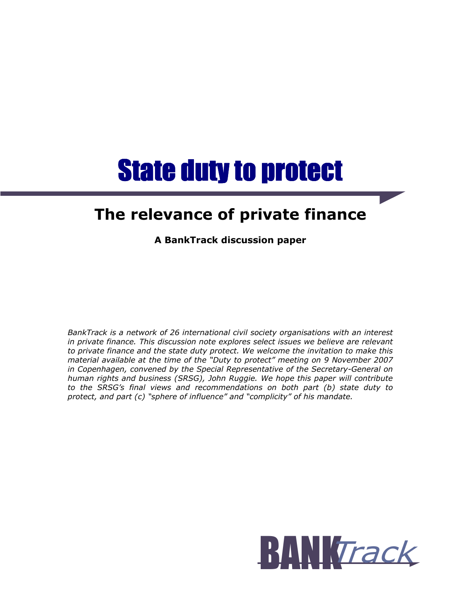# **State duty to protect**

## The relevance of private finance

A BankTrack discussion paper

BankTrack is a network of 26 international civil society organisations with an interest in private finance. This discussion note explores select issues we believe are relevant to private finance and the state duty protect. We welcome the invitation to make this material available at the time of the "Duty to protect" meeting on 9 November 2007 in Copenhagen, convened by the Special Representative of the Secretary-General on human rights and business (SRSG), John Ruggie. We hope this paper will contribute to the SRSG's final views and recommendations on both part (b) state duty to protect, and part (c) "sphere of influence" and "complicity" of his mandate.

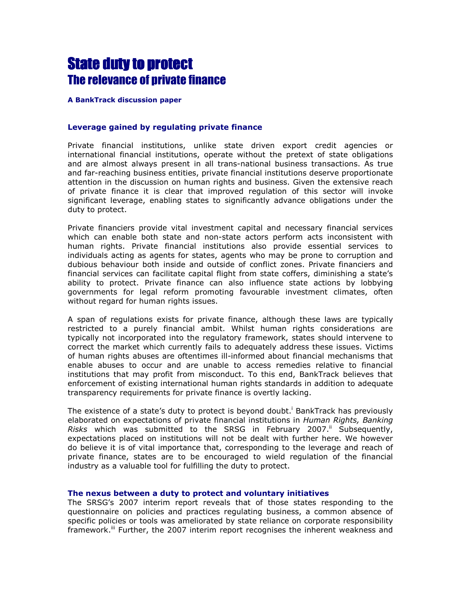## **State duty to protect** The relevance of private finance

#### A BankTrack discussion paper

#### Leverage gained by regulating private finance

Private financial institutions, unlike state driven export credit agencies or international financial institutions, operate without the pretext of state obligations and are almost always present in all trans-national business transactions. As true and far-reaching business entities, private financial institutions deserve proportionate attention in the discussion on human rights and business. Given the extensive reach of private finance it is clear that improved regulation of this sector will invoke significant leverage, enabling states to significantly advance obligations under the duty to protect.

Private financiers provide vital investment capital and necessary financial services which can enable both state and non-state actors perform acts inconsistent with human rights. Private financial institutions also provide essential services to individuals acting as agents for states, agents who may be prone to corruption and dubious behaviour both inside and outside of conflict zones. Private financiers and financial services can facilitate capital flight from state coffers, diminishing a state's ability to protect. Private finance can also influence state actions by lobbying governments for legal reform promoting favourable investment climates, often without regard for human rights issues.

A span of regulations exists for private finance, although these laws are typically restricted to a purely financial ambit. Whilst human rights considerations are typically not incorporated into the regulatory framework, states should intervene to correct the market which currently fails to adequately address these issues. Victims of human rights abuses are oftentimes ill-informed about financial mechanisms that enable abuses to occur and are unable to access remedies relative to financial institutions that may profit from misconduct. To this end, BankTrack believes that enforcement of existing international human rights standards in addition to adequate transparency requirements for private finance is overtly lacking.

The existence of a state's duty to protect is beyond doubt.<sup>i</sup> BankTrack has previously elaborated on expectations of private financial institutions in Human Rights, Banking Risks which was submitted to the SRSG in February 2007. $^{\text{II}}$  Subsequently, expectations placed on institutions will not be dealt with further here. We however do believe it is of vital importance that, corresponding to the leverage and reach of private finance, states are to be encouraged to wield regulation of the financial industry as a valuable tool for fulfilling the duty to protect.

#### The nexus between a duty to protect and voluntary initiatives

The SRSG's 2007 interim report reveals that of those states responding to the questionnaire on policies and practices regulating business, a common absence of specific policies or tools was ameliorated by state reliance on corporate responsibility framework.<sup>iii</sup> Further, the 2007 interim report recognises the inherent weakness and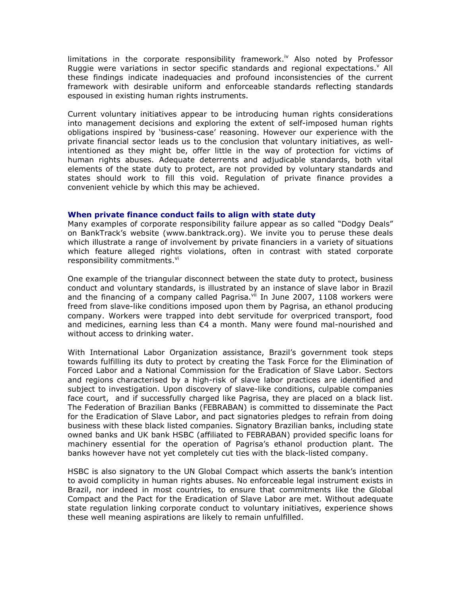limitations in the corporate responsibility framework.<sup>iv</sup> Also noted by Professor Ruggie were variations in sector specific standards and regional expectations. $v$  All these findings indicate inadequacies and profound inconsistencies of the current framework with desirable uniform and enforceable standards reflecting standards espoused in existing human rights instruments.

Current voluntary initiatives appear to be introducing human rights considerations into management decisions and exploring the extent of self-imposed human rights obligations inspired by 'business-case' reasoning. However our experience with the private financial sector leads us to the conclusion that voluntary initiatives, as wellintentioned as they might be, offer little in the way of protection for victims of human rights abuses. Adequate deterrents and adjudicable standards, both vital elements of the state duty to protect, are not provided by voluntary standards and states should work to fill this void. Regulation of private finance provides a convenient vehicle by which this may be achieved.

#### When private finance conduct fails to align with state duty

Many examples of corporate responsibility failure appear as so called "Dodgy Deals" on BankTrack's website (www.banktrack.org). We invite you to peruse these deals which illustrate a range of involvement by private financiers in a variety of situations which feature alleged rights violations, often in contrast with stated corporate responsibility commitments.<sup>vi</sup>

One example of the triangular disconnect between the state duty to protect, business conduct and voluntary standards, is illustrated by an instance of slave labor in Brazil and the financing of a company called Pagrisa. $v^{ii}$  In June 2007, 1108 workers were freed from slave-like conditions imposed upon them by Pagrisa, an ethanol producing company. Workers were trapped into debt servitude for overpriced transport, food and medicines, earning less than €4 a month. Many were found mal-nourished and without access to drinking water.

With International Labor Organization assistance, Brazil's government took steps towards fulfilling its duty to protect by creating the Task Force for the Elimination of Forced Labor and a National Commission for the Eradication of Slave Labor. Sectors and regions characterised by a high-risk of slave labor practices are identified and subject to investigation. Upon discovery of slave-like conditions, culpable companies face court, and if successfully charged like Pagrisa, they are placed on a black list. The Federation of Brazilian Banks (FEBRABAN) is committed to disseminate the Pact for the Eradication of Slave Labor, and pact signatories pledges to refrain from doing business with these black listed companies. Signatory Brazilian banks, including state owned banks and UK bank HSBC (affiliated to FEBRABAN) provided specific loans for machinery essential for the operation of Pagrisa's ethanol production plant. The banks however have not yet completely cut ties with the black-listed company.

HSBC is also signatory to the UN Global Compact which asserts the bank's intention to avoid complicity in human rights abuses. No enforceable legal instrument exists in Brazil, nor indeed in most countries, to ensure that commitments like the Global Compact and the Pact for the Eradication of Slave Labor are met. Without adequate state regulation linking corporate conduct to voluntary initiatives, experience shows these well meaning aspirations are likely to remain unfulfilled.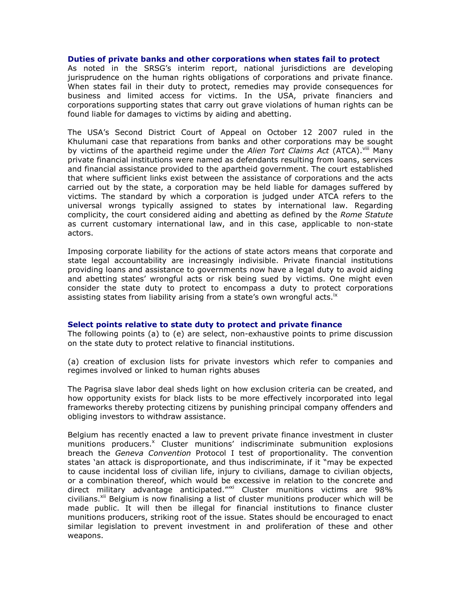#### Duties of private banks and other corporations when states fail to protect

As noted in the SRSG's interim report, national jurisdictions are developing jurisprudence on the human rights obligations of corporations and private finance. When states fail in their duty to protect, remedies may provide consequences for business and limited access for victims. In the USA, private financiers and corporations supporting states that carry out grave violations of human rights can be found liable for damages to victims by aiding and abetting.

The USA's Second District Court of Appeal on October 12 2007 ruled in the Khulumani case that reparations from banks and other corporations may be sought by victims of the apartheid regime under the *Alien Tort Claims Act* (ATCA).<sup>viii</sup> Many private financial institutions were named as defendants resulting from loans, services and financial assistance provided to the apartheid government. The court established that where sufficient links exist between the assistance of corporations and the acts carried out by the state, a corporation may be held liable for damages suffered by victims. The standard by which a corporation is judged under ATCA refers to the universal wrongs typically assigned to states by international law. Regarding complicity, the court considered aiding and abetting as defined by the Rome Statute as current customary international law, and in this case, applicable to non-state actors.

Imposing corporate liability for the actions of state actors means that corporate and state legal accountability are increasingly indivisible. Private financial institutions providing loans and assistance to governments now have a legal duty to avoid aiding and abetting states' wrongful acts or risk being sued by victims. One might even consider the state duty to protect to encompass a duty to protect corporations assisting states from liability arising from a state's own wrongful acts.<sup>1x</sup>

#### Select points relative to state duty to protect and private finance

The following points (a) to (e) are select, non-exhaustive points to prime discussion on the state duty to protect relative to financial institutions.

(a) creation of exclusion lists for private investors which refer to companies and regimes involved or linked to human rights abuses

The Pagrisa slave labor deal sheds light on how exclusion criteria can be created, and how opportunity exists for black lists to be more effectively incorporated into legal frameworks thereby protecting citizens by punishing principal company offenders and obliging investors to withdraw assistance.

Belgium has recently enacted a law to prevent private finance investment in cluster munitions producers.<sup>x</sup> Cluster munitions' indiscriminate submunition explosions breach the Geneva Convention Protocol I test of proportionality. The convention states 'an attack is disproportionate, and thus indiscriminate, if it "may be expected to cause incidental loss of civilian life, injury to civilians, damage to civilian objects, or a combination thereof, which would be excessive in relation to the concrete and direct military advantage anticipated."<sup>"xi</sup> Cluster munitions victims are 98% civilians.<sup>xii</sup> Belgium is now finalising a list of cluster munitions producer which will be made public. It will then be illegal for financial institutions to finance cluster munitions producers, striking root of the issue. States should be encouraged to enact similar legislation to prevent investment in and proliferation of these and other weapons.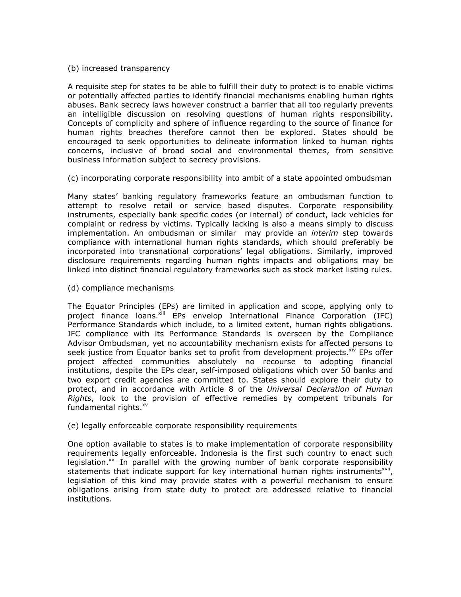#### (b) increased transparency

A requisite step for states to be able to fulfill their duty to protect is to enable victims or potentially affected parties to identify financial mechanisms enabling human rights abuses. Bank secrecy laws however construct a barrier that all too regularly prevents an intelligible discussion on resolving questions of human rights responsibility. Concepts of complicity and sphere of influence regarding to the source of finance for human rights breaches therefore cannot then be explored. States should be encouraged to seek opportunities to delineate information linked to human rights concerns, inclusive of broad social and environmental themes, from sensitive business information subject to secrecy provisions.

(c) incorporating corporate responsibility into ambit of a state appointed ombudsman

Many states' banking regulatory frameworks feature an ombudsman function to attempt to resolve retail or service based disputes. Corporate responsibility instruments, especially bank specific codes (or internal) of conduct, lack vehicles for complaint or redress by victims. Typically lacking is also a means simply to discuss implementation. An ombudsman or similar may provide an *interim* step towards compliance with international human rights standards, which should preferably be incorporated into transnational corporations' legal obligations. Similarly, improved disclosure requirements regarding human rights impacts and obligations may be linked into distinct financial regulatory frameworks such as stock market listing rules.

(d) compliance mechanisms

The Equator Principles (EPs) are limited in application and scope, applying only to project finance loans. Xiii EPs envelop International Finance Corporation (IFC) Performance Standards which include, to a limited extent, human rights obligations. IFC compliance with its Performance Standards is overseen by the Compliance Advisor Ombudsman, yet no accountability mechanism exists for affected persons to seek justice from Equator banks set to profit from development projects.<sup>xiv</sup> EPs offer project affected communities absolutely no recourse to adopting financial institutions, despite the EPs clear, self-imposed obligations which over 50 banks and two export credit agencies are committed to. States should explore their duty to protect, and in accordance with Article 8 of the Universal Declaration of Human Rights, look to the provision of effective remedies by competent tribunals for fundamental rights.<sup>xv</sup>

(e) legally enforceable corporate responsibility requirements

One option available to states is to make implementation of corporate responsibility requirements legally enforceable. Indonesia is the first such country to enact such legislation.<sup>xvi</sup> In parallel with the growing number of bank corporate responsibility statements that indicate support for key international human rights instruments<sup>xvii</sup>, legislation of this kind may provide states with a powerful mechanism to ensure obligations arising from state duty to protect are addressed relative to financial institutions.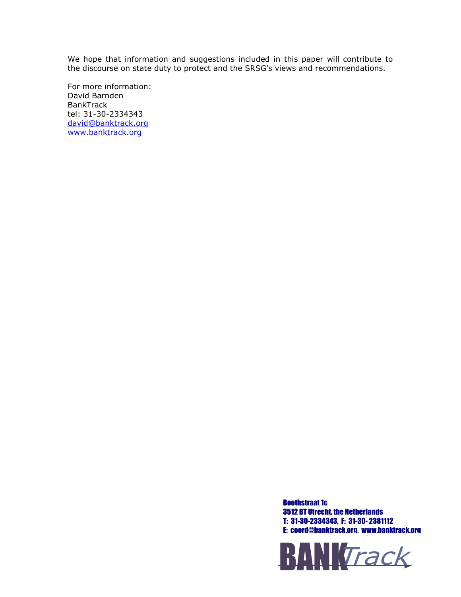We hope that information and suggestions included in this paper will contribute to the discourse on state duty to protect and the SRSG's views and recommendations.

For more information: David Barnden BankTrack tel: 31-30-2334343 david@banktrack.org www.banktrack.org

> Boothstraat 1c 3512 BT Utrecht, the Netherlands T: 31-30-2334343, F: 31-30- 2381112 E: coord@banktrack.org, www.banktrack.org